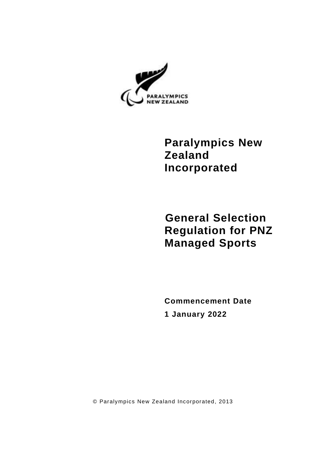

**Paralympics New Zealand Incorporated**

**General Selection Regulation for PNZ Managed Sports**

**Commencement Date 1 January 2022**

© Paralympics New Zealand Incorporated, 2013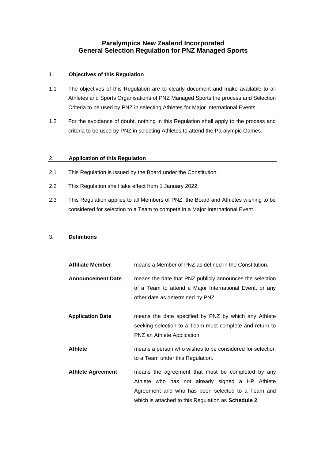# **Paralympics New Zealand Incorporated General Selection Regulation for PNZ Managed Sports**

### 1. **Objectives of this Regulation**

- 1.1 The objectives of this Regulation are to clearly document and make available to all Athletes and Sports Organisations of PNZ Managed Sports the process and Selection Criteria to be used by PNZ in selecting Athletes for Major International Events.
- 1.2 For the avoidance of doubt, nothing in this Regulation shall apply to the process and criteria to be used by PNZ in selecting Athletes to attend the Paralympic Games.

### 2. **Application of this Regulation**

- 2.1 This Regulation is issued by the Board under the Constitution.
- 2.2 This Regulation shall take effect from 1 January 2022.
- 2.3 This Regulation applies to all Members of PNZ, the Board and Athletes wishing to be considered for selection to a Team to compete in a Major International Event.

### 3. **Definitions**

| <b>Affiliate Member</b>  | means a Member of PNZ as defined in the Constitution.                                                                                                                                                                   |
|--------------------------|-------------------------------------------------------------------------------------------------------------------------------------------------------------------------------------------------------------------------|
| <b>Announcement Date</b> | means the date that PNZ publicly announces the selection<br>of a Team to attend a Major International Event, or any<br>other date as determined by PNZ.                                                                 |
| <b>Application Date</b>  | means the date specified by PNZ by which any Athlete<br>seeking selection to a Team must complete and return to<br>PNZ an Athlete Application.                                                                          |
| <b>Athlete</b>           | means a person who wishes to be considered for selection<br>to a Team under this Regulation.                                                                                                                            |
| <b>Athlete Agreement</b> | means the agreement that must be completed by any<br>Athlete who has not already signed a HP Athlete<br>Agreement and who has been selected to a Team and<br>which is attached to this Regulation as <b>Schedule 2.</b> |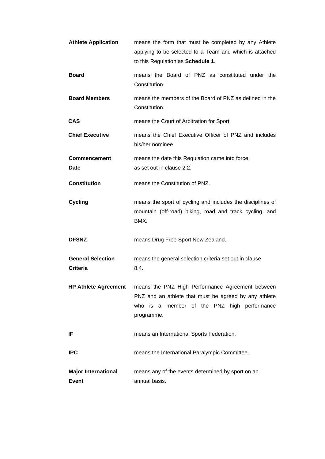| <b>Athlete Application</b>                  | means the form that must be completed by any Athlete<br>applying to be selected to a Team and which is attached<br>to this Regulation as Schedule 1.                   |
|---------------------------------------------|------------------------------------------------------------------------------------------------------------------------------------------------------------------------|
| <b>Board</b>                                | means the Board of PNZ as constituted under the<br>Constitution.                                                                                                       |
| <b>Board Members</b>                        | means the members of the Board of PNZ as defined in the<br>Constitution.                                                                                               |
| <b>CAS</b>                                  | means the Court of Arbitration for Sport.                                                                                                                              |
| <b>Chief Executive</b>                      | means the Chief Executive Officer of PNZ and includes<br>his/her nominee.                                                                                              |
| <b>Commencement</b><br>Date                 | means the date this Regulation came into force,<br>as set out in clause 2.2.                                                                                           |
| <b>Constitution</b>                         | means the Constitution of PNZ.                                                                                                                                         |
| <b>Cycling</b>                              | means the sport of cycling and includes the disciplines of<br>mountain (off-road) biking, road and track cycling, and<br>BMX.                                          |
| <b>DFSNZ</b>                                | means Drug Free Sport New Zealand.                                                                                                                                     |
| <b>General Selection</b><br><b>Criteria</b> | means the general selection criteria set out in clause<br>8.4.                                                                                                         |
| <b>HP Athlete Agreement</b>                 | means the PNZ High Performance Agreement between<br>PNZ and an athlete that must be agreed by any athlete<br>who is a member of the PNZ high performance<br>programme. |
| IF                                          | means an International Sports Federation.                                                                                                                              |
| <b>IPC</b>                                  | means the International Paralympic Committee.                                                                                                                          |
| <b>Major International</b><br><b>Event</b>  | means any of the events determined by sport on an<br>annual basis.                                                                                                     |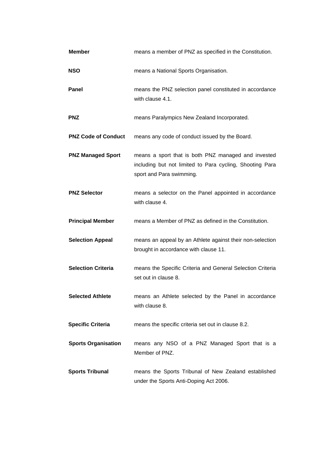| <b>Member</b>              | means a member of PNZ as specified in the Constitution.                                                                                     |
|----------------------------|---------------------------------------------------------------------------------------------------------------------------------------------|
| <b>NSO</b>                 | means a National Sports Organisation.                                                                                                       |
| Panel                      | means the PNZ selection panel constituted in accordance<br>with clause 4.1.                                                                 |
| <b>PNZ</b>                 | means Paralympics New Zealand Incorporated.                                                                                                 |
| <b>PNZ Code of Conduct</b> | means any code of conduct issued by the Board.                                                                                              |
| <b>PNZ Managed Sport</b>   | means a sport that is both PNZ managed and invested<br>including but not limited to Para cycling, Shooting Para<br>sport and Para swimming. |
| <b>PNZ Selector</b>        | means a selector on the Panel appointed in accordance<br>with clause 4.                                                                     |
| <b>Principal Member</b>    | means a Member of PNZ as defined in the Constitution.                                                                                       |
| <b>Selection Appeal</b>    | means an appeal by an Athlete against their non-selection<br>brought in accordance with clause 11.                                          |
| <b>Selection Criteria</b>  | means the Specific Criteria and General Selection Criteria<br>set out in clause 8.                                                          |
| <b>Selected Athlete</b>    | means an Athlete selected by the Panel in accordance<br>with clause 8.                                                                      |
| <b>Specific Criteria</b>   | means the specific criteria set out in clause 8.2.                                                                                          |
| <b>Sports Organisation</b> | means any NSO of a PNZ Managed Sport that is a<br>Member of PNZ.                                                                            |
| <b>Sports Tribunal</b>     | means the Sports Tribunal of New Zealand established<br>under the Sports Anti-Doping Act 2006.                                              |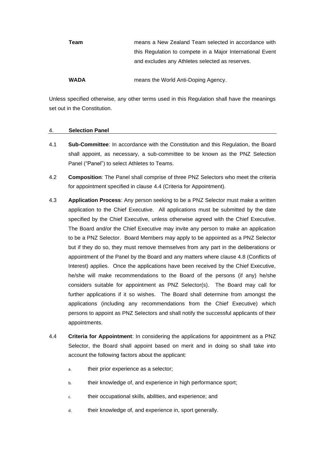| Team        | means a New Zealand Team selected in accordance with      |
|-------------|-----------------------------------------------------------|
|             | this Regulation to compete in a Major International Event |
|             | and excludes any Athletes selected as reserves.           |
|             |                                                           |
| <b>WADA</b> | means the World Anti-Doping Agency.                       |

Unless specified otherwise, any other terms used in this Regulation shall have the meanings set out in the Constitution.

### 4. **Selection Panel**

- 4.1 **Sub-Committee**: In accordance with the Constitution and this Regulation, the Board shall appoint, as necessary, a sub-committee to be known as the PNZ Selection Panel ("Panel") to select Athletes to Teams.
- 4.2 **Composition**: The Panel shall comprise of three PNZ Selectors who meet the criteria for appointment specified in clause [4.4](#page-4-0) (Criteria for Appointment).
- 4.3 **Application Process**: Any person seeking to be a PNZ Selector must make a written application to the Chief Executive. All applications must be submitted by the date specified by the Chief Executive, unless otherwise agreed with the Chief Executive. The Board and/or the Chief Executive may invite any person to make an application to be a PNZ Selector. Board Members may apply to be appointed as a PNZ Selector but if they do so, they must remove themselves from any part in the deliberations or appointment of the Panel by the Board and any matters where clause [4.8](#page-5-0) (Conflicts of Interest) applies. Once the applications have been received by the Chief Executive, he/she will make recommendations to the Board of the persons (if any) he/she considers suitable for appointment as PNZ Selector(s). The Board may call for further applications if it so wishes. The Board shall determine from amongst the applications (including any recommendations from the Chief Executive) which persons to appoint as PNZ Selectors and shall notify the successful applicants of their appointments.
- <span id="page-4-0"></span>4.4 **Criteria for Appointment**: In considering the applications for appointment as a PNZ Selector, the Board shall appoint based on merit and in doing so shall take into account the following factors about the applicant:
	- a. their prior experience as a selector;
	- b. their knowledge of, and experience in high performance sport;
	- c. their occupational skills, abilities, and experience; and
	- d. their knowledge of, and experience in, sport generally.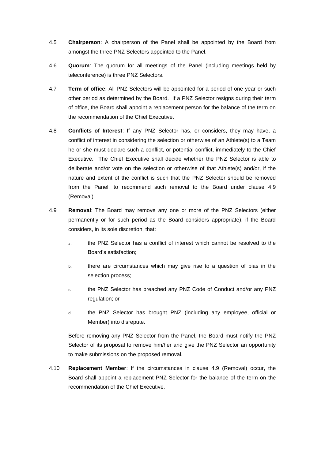- 4.5 **Chairperson**: A chairperson of the Panel shall be appointed by the Board from amongst the three PNZ Selectors appointed to the Panel.
- 4.6 **Quorum**: The quorum for all meetings of the Panel (including meetings held by teleconference) is three PNZ Selectors.
- 4.7 **Term of office**: All PNZ Selectors will be appointed for a period of one year or such other period as determined by the Board. If a PNZ Selector resigns during their term of office, the Board shall appoint a replacement person for the balance of the term on the recommendation of the Chief Executive.
- <span id="page-5-0"></span>4.8 **Conflicts of Interest**: If any PNZ Selector has, or considers, they may have, a conflict of interest in considering the selection or otherwise of an Athlete(s) to a Team he or she must declare such a conflict, or potential conflict, immediately to the Chief Executive. The Chief Executive shall decide whether the PNZ Selector is able to deliberate and/or vote on the selection or otherwise of that Athlete(s) and/or, if the nature and extent of the conflict is such that the PNZ Selector should be removed from the Panel, to recommend such removal to the Board under clause [4.9](#page-5-1) (Removal).
- <span id="page-5-1"></span>4.9 **Removal**: The Board may remove any one or more of the PNZ Selectors (either permanently or for such period as the Board considers appropriate), if the Board considers, in its sole discretion, that:
	- a. the PNZ Selector has a conflict of interest which cannot be resolved to the Board's satisfaction;
	- b. there are circumstances which may give rise to a question of bias in the selection process;
	- c. the PNZ Selector has breached any PNZ Code of Conduct and/or any PNZ regulation; or
	- d. the PNZ Selector has brought PNZ (including any employee, official or Member) into disrepute.

Before removing any PNZ Selector from the Panel, the Board must notify the PNZ Selector of its proposal to remove him/her and give the PNZ Selector an opportunity to make submissions on the proposed removal.

4.10 **Replacement Member**: If the circumstances in clause [4.9](#page-5-1) (Removal) occur, the Board shall appoint a replacement PNZ Selector for the balance of the term on the recommendation of the Chief Executive.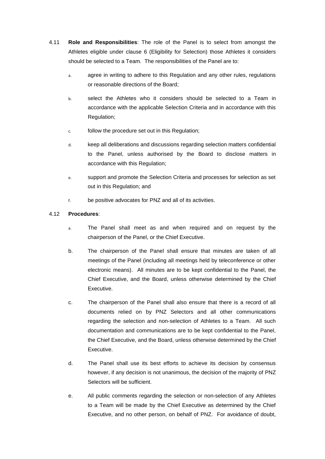- 4.11 **Role and Responsibilities**: The role of the Panel is to select from amongst the Athletes eligible under clause [6](#page-7-0) (Eligibility for Selection) those Athletes it considers should be selected to a Team. The responsibilities of the Panel are to:
	- a. agree in writing to adhere to this Regulation and any other rules, regulations or reasonable directions of the Board;
	- b. select the Athletes who it considers should be selected to a Team in accordance with the applicable Selection Criteria and in accordance with this Regulation;
	- c. follow the procedure set out in this Regulation;
	- d. keep all deliberations and discussions regarding selection matters confidential to the Panel, unless authorised by the Board to disclose matters in accordance with this Regulation;
	- e. support and promote the Selection Criteria and processes for selection as set out in this Regulation; and
	- f. be positive advocates for PNZ and all of its activities.

## 4.12 **Procedures**:

- a. The Panel shall meet as and when required and on request by the chairperson of the Panel, or the Chief Executive.
- b. The chairperson of the Panel shall ensure that minutes are taken of all meetings of the Panel (including all meetings held by teleconference or other electronic means). All minutes are to be kept confidential to the Panel, the Chief Executive, and the Board, unless otherwise determined by the Chief Executive.
- c. The chairperson of the Panel shall also ensure that there is a record of all documents relied on by PNZ Selectors and all other communications regarding the selection and non-selection of Athletes to a Team. All such documentation and communications are to be kept confidential to the Panel, the Chief Executive, and the Board, unless otherwise determined by the Chief Executive.
- d. The Panel shall use its best efforts to achieve its decision by consensus however, if any decision is not unanimous, the decision of the majority of PNZ Selectors will be sufficient.
- e. All public comments regarding the selection or non-selection of any Athletes to a Team will be made by the Chief Executive as determined by the Chief Executive, and no other person, on behalf of PNZ. For avoidance of doubt,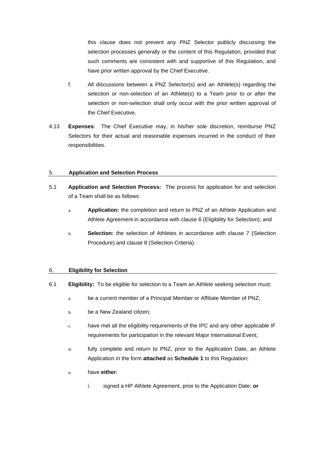this clause does not prevent any PNZ Selector publicly discussing the selection processes generally or the content of this Regulation, provided that such comments are consistent with and supportive of this Regulation, and have prior written approval by the Chief Executive.

- f. All discussions between a PNZ Selector(s) and an Athlete(s) regarding the selection or non-selection of an Athlete(s) to a Team prior to or after the selection or non-selection shall only occur with the prior written approval of the Chief Executive.
- 4.13 **Expenses**: The Chief Executive may, in his/her sole discretion, reimburse PNZ Selectors for their actual and reasonable expenses incurred in the conduct of their responsibilities.

### 5. **Application and Selection Process**

- 5.1 **Application and Selection Process:** The process for application for and selection of a Team shall be as follows:
	- a. **Application:** the completion and return to PNZ of an Athlete Application and Athlete Agreement in accordance with clause [6](#page-7-0) (Eligibility for Selection); and
	- b. **Selection:** the selection of Athletes in accordance with clause [7](#page-9-3) (Selection Procedure) and clause [8](#page-9-1) (Selection Criteria).

## <span id="page-7-0"></span>6. **Eligibility for Selection**

- <span id="page-7-1"></span>6.1 **Eligibility:** To be eligible for selection to a Team an Athlete seeking selection must:
	- a. be a current member of a Principal Member or Affiliate Member of PNZ;
	- b. be a New Zealand citizen;
	- c. have met all the eligibility requirements of the IPC and any other applicable IF requirements for participation in the relevant Major International Event;
	- d. fully complete and return to PNZ, prior to the Application Date, an Athlete Application in the form **attached** as **Schedule 1** to this Regulation;
	- e. have **either**:
		- i. signed a HP Athlete Agreement, prior to the Application Date; **or**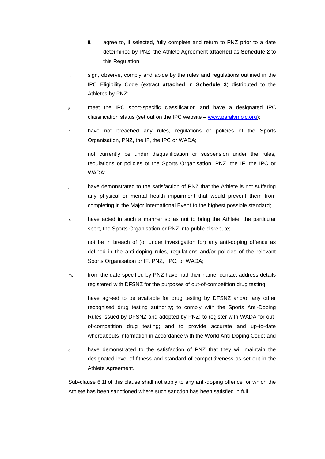- ii. agree to, if selected, fully complete and return to PNZ prior to a date determined by PNZ, the Athlete Agreement **attached** as **Schedule 2** to this Regulation;
- f. sign, observe, comply and abide by the rules and regulations outlined in the IPC Eligibility Code (extract **attached** in **Schedule 3**) distributed to the Athletes by PNZ;
- g. meet the IPC sport-specific classification and have a designated IPC classification status (set out on the IPC website – [www.paralympic.org\)](http://www.paralympic.org/);
- h. have not breached any rules, regulations or policies of the Sports Organisation, PNZ, the IF, the IPC or WADA;
- i. not currently be under disqualification or suspension under the rules, regulations or policies of the Sports Organisation, PNZ, the IF, the IPC or WADA;
- j. have demonstrated to the satisfaction of PNZ that the Athlete is not suffering any physical or mental health impairment that would prevent them from completing in the Major International Event to the highest possible standard;
- k. have acted in such a manner so as not to bring the Athlete, the particular sport, the Sports Organisation or PNZ into public disrepute;
- <span id="page-8-0"></span>l. not be in breach of (or under investigation for) any anti-doping offence as defined in the anti-doping rules, regulations and/or policies of the relevant Sports Organisation or IF, PNZ, IPC, or WADA;
- m. from the date specified by PNZ have had their name, contact address details registered with DFSNZ for the purposes of out-of-competition drug testing;
- n. have agreed to be available for drug testing by DFSNZ and/or any other recognised drug testing authority; to comply with the Sports Anti-Doping Rules issued by DFSNZ and adopted by PNZ; to register with WADA for outof-competition drug testing; and to provide accurate and up-to-date whereabouts information in accordance with the World Anti-Doping Code; and
- o. have demonstrated to the satisfaction of PNZ that they will maintain the designated level of fitness and standard of competitiveness as set out in the Athlete Agreement.

Sub-clause [6.1l](#page-8-0) of this clause shall not apply to any anti-doping offence for which the Athlete has been sanctioned where such sanction has been satisfied in full.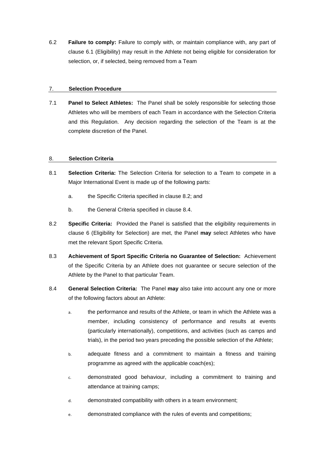6.2 **Failure to comply:** Failure to comply with, or maintain compliance with, any part of clause [6.1](#page-7-1) (Eligibility) may result in the Athlete not being eligible for consideration for selection, or, if selected, being removed from a Team

### <span id="page-9-3"></span>7. **Selection Procedure**

7.1 **Panel to Select Athletes:** The Panel shall be solely responsible for selecting those Athletes who will be members of each Team in accordance with the Selection Criteria and this Regulation. Any decision regarding the selection of the Team is at the complete discretion of the Panel.

### <span id="page-9-1"></span>8. **Selection Criteria**

- 8.1 **Selection Criteria:** The Selection Criteria for selection to a Team to compete in a Major International Event is made up of the following parts:
	- a. the Specific Criteria specified in clause [8.2;](#page-9-2) and
	- b. the General Criteria specified in clause [8.4.](#page-9-0)
- <span id="page-9-2"></span>8.2 **Specific Criteria:** Provided the Panel is satisfied that the eligibility requirements in clause [6](#page-7-0) (Eligibility for Selection) are met, the Panel **may** select Athletes who have met the relevant Sport Specific Criteria.
- 8.3 **Achievement of Sport Specific Criteria no Guarantee of Selection:** Achievement of the Specific Criteria by an Athlete does not guarantee or secure selection of the Athlete by the Panel to that particular Team.
- <span id="page-9-0"></span>8.4 **General Selection Criteria:** The Panel **may** also take into account any one or more of the following factors about an Athlete:
	- a. the performance and results of the Athlete, or team in which the Athlete was a member, including consistency of performance and results at events (particularly internationally), competitions, and activities (such as camps and trials), in the period two years preceding the possible selection of the Athlete;
	- b. adequate fitness and a commitment to maintain a fitness and training programme as agreed with the applicable coach(es);
	- c. demonstrated good behaviour, including a commitment to training and attendance at training camps;
	- d. demonstrated compatibility with others in a team environment;
	- e. demonstrated compliance with the rules of events and competitions;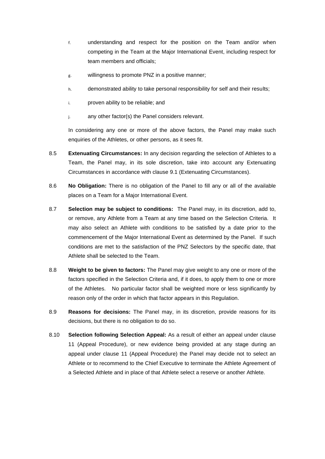- f. understanding and respect for the position on the Team and/or when competing in the Team at the Major International Event, including respect for team members and officials;
- g. willingness to promote PNZ in a positive manner;
- h. demonstrated ability to take personal responsibility for self and their results;
- i. proven ability to be reliable; and
- j. any other factor(s) the Panel considers relevant.

In considering any one or more of the above factors, the Panel may make such enquiries of the Athletes, or other persons, as it sees fit.

- 8.5 **Extenuating Circumstances:** In any decision regarding the selection of Athletes to a Team, the Panel may, in its sole discretion, take into account any Extenuating Circumstances in accordance with clause 9.1 (Extenuating Circumstances).
- 8.6 **No Obligation:** There is no obligation of the Panel to fill any or all of the available places on a Team for a Major International Event.
- 8.7 **Selection may be subject to conditions:** The Panel may, in its discretion, add to, or remove, any Athlete from a Team at any time based on the Selection Criteria. It may also select an Athlete with conditions to be satisfied by a date prior to the commencement of the Major International Event as determined by the Panel. If such conditions are met to the satisfaction of the PNZ Selectors by the specific date, that Athlete shall be selected to the Team.
- 8.8 **Weight to be given to factors:** The Panel may give weight to any one or more of the factors specified in the Selection Criteria and, if it does, to apply them to one or more of the Athletes. No particular factor shall be weighted more or less significantly by reason only of the order in which that factor appears in this Regulation.
- 8.9 **Reasons for decisions:** The Panel may, in its discretion, provide reasons for its decisions, but there is no obligation to do so.
- 8.10 **Selection following Selection Appeal:** As a result of either an appeal under clause [11](#page-12-0) (Appeal Procedure), or new evidence being provided at any stage during an appeal under clause [11](#page-12-0) (Appeal Procedure) the Panel may decide not to select an Athlete or to recommend to the Chief Executive to terminate the Athlete Agreement of a Selected Athlete and in place of that Athlete select a reserve or another Athlete.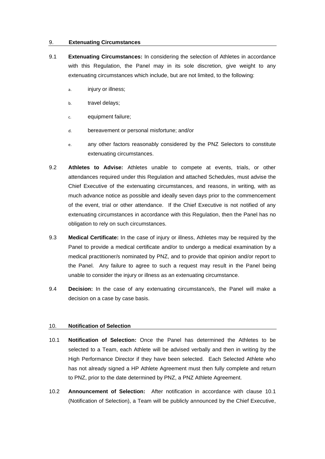#### 9. **Extenuating Circumstances**

- 9.1 **Extenuating Circumstances:** In considering the selection of Athletes in accordance with this Regulation, the Panel may in its sole discretion, give weight to any extenuating circumstances which include, but are not limited, to the following:
	- a. injury or illness;
	- b. travel delays;
	- c. equipment failure;
	- d. bereavement or personal misfortune; and/or
	- e. any other factors reasonably considered by the PNZ Selectors to constitute extenuating circumstances.
- 9.2 **Athletes to Advise:** Athletes unable to compete at events, trials, or other attendances required under this Regulation and attached Schedules, must advise the Chief Executive of the extenuating circumstances, and reasons, in writing, with as much advance notice as possible and ideally seven days prior to the commencement of the event, trial or other attendance. If the Chief Executive is not notified of any extenuating circumstances in accordance with this Regulation, then the Panel has no obligation to rely on such circumstances.
- 9.3 **Medical Certificate:** In the case of injury or illness, Athletes may be required by the Panel to provide a medical certificate and/or to undergo a medical examination by a medical practitioner/s nominated by PNZ, and to provide that opinion and/or report to the Panel. Any failure to agree to such a request may result in the Panel being unable to consider the injury or illness as an extenuating circumstance.
- 9.4 **Decision:** In the case of any extenuating circumstance/s, the Panel will make a decision on a case by case basis.

#### 10. **Notification of Selection**

- <span id="page-11-0"></span>10.1 **Notification of Selection:** Once the Panel has determined the Athletes to be selected to a Team, each Athlete will be advised verbally and then in writing by the High Performance Director if they have been selected. Each Selected Athlete who has not already signed a HP Athlete Agreement must then fully complete and return to PNZ, prior to the date determined by PNZ, a PNZ Athlete Agreement.
- 10.2 **Announcement of Selection:** After notification in accordance with clause [10.1](#page-11-0) (Notification of Selection), a Team will be publicly announced by the Chief Executive,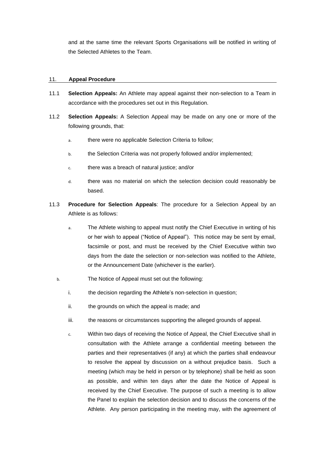and at the same time the relevant Sports Organisations will be notified in writing of the Selected Athletes to the Team.

### <span id="page-12-0"></span>11. **Appeal Procedure**

- 11.1 **Selection Appeals:** An Athlete may appeal against their non-selection to a Team in accordance with the procedures set out in this Regulation.
- 11.2 **Selection Appeals:** A Selection Appeal may be made on any one or more of the following grounds, that:
	- a. there were no applicable Selection Criteria to follow;
	- b. the Selection Criteria was not properly followed and/or implemented;
	- c. there was a breach of natural justice; and/or
	- d. there was no material on which the selection decision could reasonably be based.
- 11.3 **Procedure for Selection Appeals**: The procedure for a Selection Appeal by an Athlete is as follows:
	- a. The Athlete wishing to appeal must notify the Chief Executive in writing of his or her wish to appeal ("Notice of Appeal"). This notice may be sent by email, facsimile or post, and must be received by the Chief Executive within two days from the date the selection or non-selection was notified to the Athlete, or the Announcement Date (whichever is the earlier).
	- b. The Notice of Appeal must set out the following:
		- i. the decision regarding the Athlete's non-selection in question;
		- ii. the grounds on which the appeal is made; and
		- iii. the reasons or circumstances supporting the alleged grounds of appeal.
		- c. Within two days of receiving the Notice of Appeal, the Chief Executive shall in consultation with the Athlete arrange a confidential meeting between the parties and their representatives (if any) at which the parties shall endeavour to resolve the appeal by discussion on a without prejudice basis. Such a meeting (which may be held in person or by telephone) shall be held as soon as possible, and within ten days after the date the Notice of Appeal is received by the Chief Executive. The purpose of such a meeting is to allow the Panel to explain the selection decision and to discuss the concerns of the Athlete. Any person participating in the meeting may, with the agreement of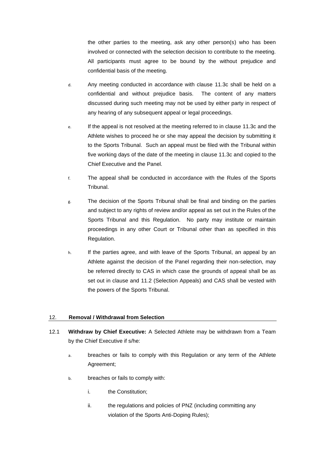the other parties to the meeting, ask any other person(s) who has been involved or connected with the selection decision to contribute to the meeting. All participants must agree to be bound by the without prejudice and confidential basis of the meeting.

- d. Any meeting conducted in accordance with clause 11.3c shall be held on a confidential and without prejudice basis. The content of any matters discussed during such meeting may not be used by either party in respect of any hearing of any subsequent appeal or legal proceedings.
- e. If the appeal is not resolved at the meeting referred to in clause 11.3c and the Athlete wishes to proceed he or she may appeal the decision by submitting it to the Sports Tribunal. Such an appeal must be filed with the Tribunal within five working days of the date of the meeting in clause 11.3c and copied to the Chief Executive and the Panel.
- f. The appeal shall be conducted in accordance with the Rules of the Sports Tribunal.
- g. The decision of the Sports Tribunal shall be final and binding on the parties and subject to any rights of review and/or appeal as set out in the Rules of the Sports Tribunal and this Regulation. No party may institute or maintain proceedings in any other Court or Tribunal other than as specified in this Regulation.
- h. If the parties agree, and with leave of the Sports Tribunal, an appeal by an Athlete against the decision of the Panel regarding their non-selection, may be referred directly to CAS in which case the grounds of appeal shall be as set out in clause and 11.2 (Selection Appeals) and CAS shall be vested with the powers of the Sports Tribunal.

## 12. **Removal / Withdrawal from Selection**

- <span id="page-13-0"></span>12.1 **Withdraw by Chief Executive:** A Selected Athlete may be withdrawn from a Team by the Chief Executive if s/he:
	- a. breaches or fails to comply with this Regulation or any term of the Athlete Agreement;
	- b. breaches or fails to comply with:
		- i. the Constitution;
		- ii. the regulations and policies of PNZ (including committing any violation of the Sports Anti-Doping Rules);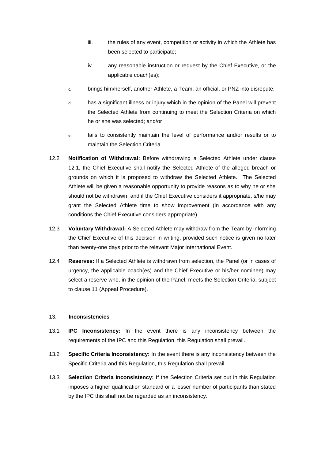- iii. the rules of any event, competition or activity in which the Athlete has been selected to participate;
- iv. any reasonable instruction or request by the Chief Executive, or the applicable coach(es);
- c. brings him/herself, another Athlete, a Team, an official, or PNZ into disrepute;
- d. has a significant illness or injury which in the opinion of the Panel will prevent the Selected Athlete from continuing to meet the Selection Criteria on which he or she was selected; and/or
- e. fails to consistently maintain the level of performance and/or results or to maintain the Selection Criteria.
- 12.2 **Notification of Withdrawal:** Before withdrawing a Selected Athlete under clause [12.1,](#page-13-0) the Chief Executive shall notify the Selected Athlete of the alleged breach or grounds on which it is proposed to withdraw the Selected Athlete. The Selected Athlete will be given a reasonable opportunity to provide reasons as to why he or she should not be withdrawn, and if the Chief Executive considers it appropriate, s/he may grant the Selected Athlete time to show improvement (in accordance with any conditions the Chief Executive considers appropriate).
- 12.3 **Voluntary Withdrawal:** A Selected Athlete may withdraw from the Team by informing the Chief Executive of this decision in writing, provided such notice is given no later than twenty-one days prior to the relevant Major International Event.
- 12.4 **Reserves:** If a Selected Athlete is withdrawn from selection, the Panel (or in cases of urgency, the applicable coach(es) and the Chief Executive or his/her nominee) may select a reserve who, in the opinion of the Panel, meets the Selection Criteria, subject to clause [11](#page-12-0) (Appeal Procedure).

## 13. **Inconsistencies**

- 13.1 **IPC Inconsistency:** In the event there is any inconsistency between the requirements of the IPC and this Regulation, this Regulation shall prevail.
- 13.2 **Specific Criteria Inconsistency:** In the event there is any inconsistency between the Specific Criteria and this Regulation, this Regulation shall prevail.
- 13.3 **Selection Criteria Inconsistency:** If the Selection Criteria set out in this Regulation imposes a higher qualification standard or a lesser number of participants than stated by the IPC this shall not be regarded as an inconsistency.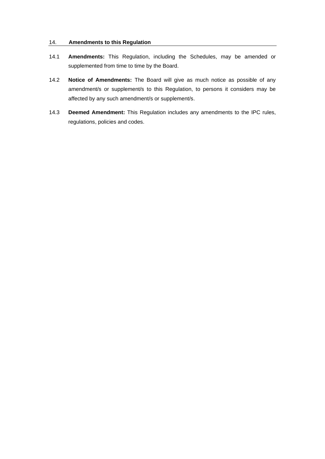## 14. **Amendments to this Regulation**

- 14.1 **Amendments:** This Regulation, including the Schedules, may be amended or supplemented from time to time by the Board.
- 14.2 **Notice of Amendments:** The Board will give as much notice as possible of any amendment/s or supplement/s to this Regulation, to persons it considers may be affected by any such amendment/s or supplement/s.
- 14.3 **Deemed Amendment:** This Regulation includes any amendments to the IPC rules, regulations, policies and codes.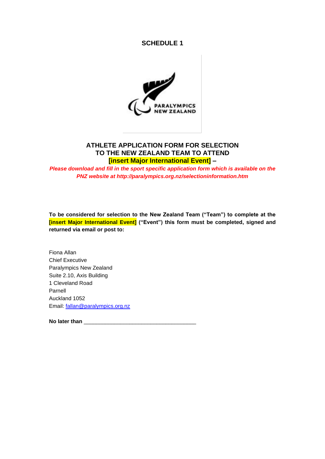## **SCHEDULE 1**



# **ATHLETE APPLICATION FORM FOR SELECTION TO THE NEW ZEALAND TEAM TO ATTEND [insert Major International Event] –**

*Please download and fill in the sport specific application form which is available on the PNZ website at http://paralympics.org.nz/selectioninformation.htm*

**To be considered for selection to the New Zealand Team ("Team") to complete at the [insert Major International Event] ("Event") this form must be completed, signed and returned via email or post to:**

Fiona Allan Chief Executive Paralympics New Zealand Suite 2.10, Axis Building 1 Cleveland Road Parnell Auckland 1052 Email: [fallan@paralympics.org.nz](mailto:fallan@paralympics.org.nz)

No later than **No later** than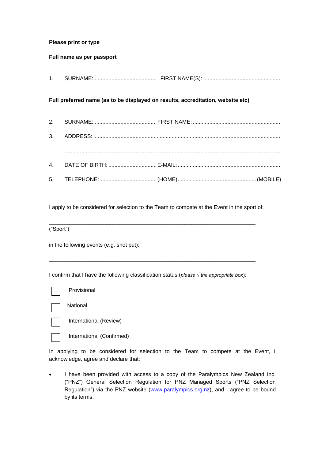## **Please print or type**

### **Full name as per passport**

1. SURNAME: ......................................... FIRST NAME(S): ...................................................

### **Full preferred name (as to be displayed on results, accreditation, website etc)**

- 2. SURNAME:..........................................FIRST NAME: ..........................................................
- 3. ADDRESS: ............................................................................................................................ ...............................................................................................................................................
- 4. DATE OF BIRTH: ................................E-MAIL:.................................................................... 5. TELEPHONE:......................................(HOME)....................................................(MOBILE)

I apply to be considered for selection to the Team to compete at the Event in the sport of:

\_\_\_\_\_\_\_\_\_\_\_\_\_\_\_\_\_\_\_\_\_\_\_\_\_\_\_\_\_\_\_\_\_\_\_\_\_\_\_\_\_\_\_\_\_\_\_\_\_\_\_\_\_\_\_\_\_\_\_\_\_\_\_\_\_\_\_\_

\_\_\_\_\_\_\_\_\_\_\_\_\_\_\_\_\_\_\_\_\_\_\_\_\_\_\_\_\_\_\_\_\_\_\_\_\_\_\_\_\_\_\_\_\_\_\_\_\_\_\_\_\_\_\_\_\_\_\_\_\_\_\_\_\_\_\_\_

("Sport")

in the following events (e.g. shot put):

I confirm that I have the following classification status (*please √ the appropriate box*):

| Provisional  |
|--------------|
| National     |
| Internationa |

International (Review)

International (Confirmed)

In applying to be considered for selection to the Team to compete at the Event, I acknowledge, agree and declare that:

• I have been provided with access to a copy of the Paralympics New Zealand Inc. ("PNZ") General Selection Regulation for PNZ Managed Sports ("PNZ Selection Regulation") via the PNZ website [\(www.paralympics.org.nz\)](http://www.paralympics.org.nz/), and I agree to be bound by its terms.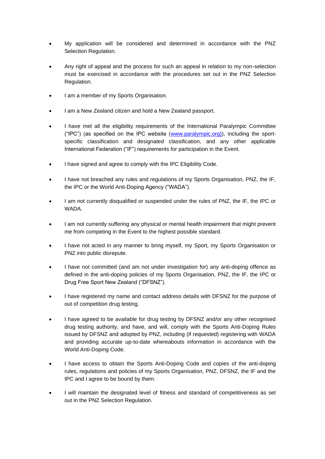- My application will be considered and determined in accordance with the PNZ Selection Regulation.
- Any right of appeal and the process for such an appeal in relation to my non-selection must be exercised in accordance with the procedures set out in the PNZ Selection Regulation.
- I am a member of my Sports Organisation.
- I am a New Zealand citizen and hold a New Zealand passport.
- I have met all the eligibility requirements of the International Paralympic Committee ("IPC") (as specified on the IPC website (www.paralympic.org)), including the sportspecific classification and designated classification, and any other applicable International Federation ("IF") requirements for participation in the Event.
- I have signed and agree to comply with the IPC Eligibility Code.
- I have not breached any rules and regulations of my Sports Organisation, PNZ, the IF, the IPC or the World Anti-Doping Agency ("WADA").
- I am not currently disqualified or suspended under the rules of PNZ, the IF, the IPC or **WADA**
- I am not currently suffering any physical or mental health impairment that might prevent me from competing in the Event to the highest possible standard.
- I have not acted in any manner to bring myself, my Sport, my Sports Organisation or PNZ into public disrepute.
- I have not committed (and am not under investigation for) any anti-doping offence as defined in the anti-doping policies of my Sports Organisation, PNZ, the IF, the IPC or Drug Free Sport New Zealand ("DFSNZ").
- I have registered my name and contact address details with DFSNZ for the purpose of out of competition drug testing.
- I have agreed to be available for drug testing by DFSNZ and/or any other recognised drug testing authority, and have, and will, comply with the Sports Anti-Doping Rules issued by DFSNZ and adopted by PNZ, including (if requested) registering with WADA and providing accurate up-to-date whereabouts information in accordance with the World Anti-Doping Code.
- I have access to obtain the Sports Anti-Doping Code and copies of the anti-doping rules, regulations and policies of my Sports Organisation, PNZ, DFSNZ, the IF and the IPC and I agree to be bound by them.
- I will maintain the designated level of fitness and standard of competitiveness as set out in the PNZ Selection Regulation.